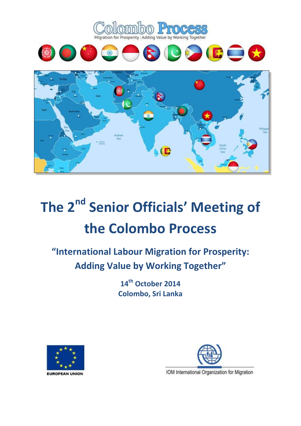

# **The 2nd Senior Officials' Meeting of the Colombo Process**

**"International Labour Migration for Prosperity: Adding Value by Working Together"**

> **14th October 2014 Colombo, Sri Lanka**





IOM International Organization for Migration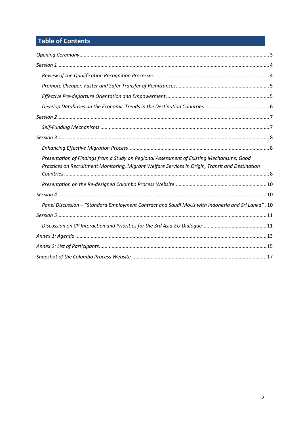# **Table of Contents**

| Presentation of Findings from a Study on Regional Assessment of Existing Mechanisms; Good<br>Practices on Recruitment Monitoring, Migrant Welfare Services in Origin, Transit and Destination |
|-----------------------------------------------------------------------------------------------------------------------------------------------------------------------------------------------|
|                                                                                                                                                                                               |
|                                                                                                                                                                                               |
| 10. "Panel Discussion - "Standard Employment Contract and Saudi MoUs with Indonesia and Sri Lanka".                                                                                           |
|                                                                                                                                                                                               |
|                                                                                                                                                                                               |
|                                                                                                                                                                                               |
|                                                                                                                                                                                               |
|                                                                                                                                                                                               |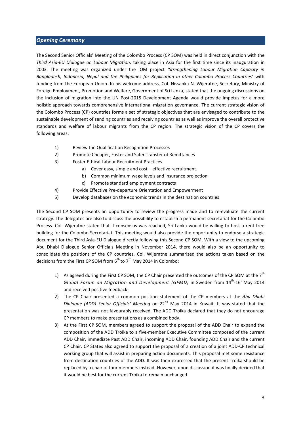#### <span id="page-2-0"></span>*Opening Ceremony*

The Second Senior Officials' Meeting of the Colombo Process (CP SOM) was held in direct conjunction with the *Third Asia-EU Dialogue on Labour Migration,* taking place in Asia for the first time since its inauguration in 2003. The meeting was organized under the IOM project *'Strengthening Labour Migration Capacity in Bangladesh, Indonesia, Nepal and the Philippines for Replication in other Colombo Process Countries'* with funding from the European Union. In his welcome address, Col. Nissanka N. Wijeratne, Secretary, Ministry of Foreign Employment, Promotion and Welfare, Government of Sri Lanka, stated that the ongoing discussions on the inclusion of migration into the UN Post-2015 Development Agenda would provide impetus for a more holistic approach towards comprehensive international migration governance. The current strategic vision of the Colombo Process (CP) countries forms a set of strategic objectives that are envisaged to contribute to the sustainable development of sending countries and receiving countries as well as improve the overall protective standards and welfare of labour migrants from the CP region. The strategic vision of the CP covers the following areas:

- 1) Review the Qualification Recognition Processes
- 2) Promote Cheaper, Faster and Safer Transfer of Remittances
- 3) Foster Ethical Labour Recruitment Practices
	- a) Cover easy, simple and cost effective recruitment.
	- b) Common minimum wage levels and insurance projection
	- c) Promote standard employment contracts
- 4) Provide Effective Pre-departure Orientation and Empowerment
- 5) Develop databases on the economic trends in the destination countries

The Second CP SOM presents an opportunity to review the progress made and to re-evaluate the current strategy. The delegates are also to discuss the possibility to establish a permanent secretariat for the Colombo Process. Col. Wijeratne stated that if consensus was reached, Sri Lanka would be willing to host a rent free building for the Colombo Secretariat. This meeting would also provide the opportunity to endorse a strategic document for the Third Asia-EU Dialogue directly following this Second CP SOM. With a view to the upcoming Abu Dhabi Dialogue Senior Officials Meeting in November 2014, there would also be an opportunity to consolidate the positions of the CP countries. Col. Wijeratne summarized the actions taken based on the decisions from the First CP SOM from  $6^{th}$  to  $7^{th}$  May 2014 in Colombo:

- 1) As agreed during the First CP SOM, the CP Chair presented the outcomes of the CP SOM at the  $7<sup>th</sup>$ Global Forum on Migration and Development (GFMD) in Sweden from 14<sup>th</sup>-16<sup>th</sup>May 2014 and received positive feedback.
- 2) The CP Chair presented a common position statement of the CP members at the *Abu Dhabi Dialogue (ADD) Senior Officials' Meeting* on 22nd May 2014 in Kuwait. It was stated that the presentation was not favourably received. The ADD Troika declared that they do not encourage CP members to make presentations as a combined body.
- 3) At the First CP SOM, members agreed to support the proposal of the ADD Chair to expand the composition of the ADD Troika to a five-member Executive Committee composed of the current ADD Chair, immediate Past ADD Chair, incoming ADD Chair, founding ADD Chair and the current CP Chair. CP States also agreed to support the proposal of a creation of a joint ADD-CP technical working group that will assist in preparing action documents. This proposal met some resistance from destination countries of the ADD. It was then expressed that the present Troika should be replaced by a chair of four members instead. However, upon discussion it was finally decided that it would be best for the current Troika to remain unchanged.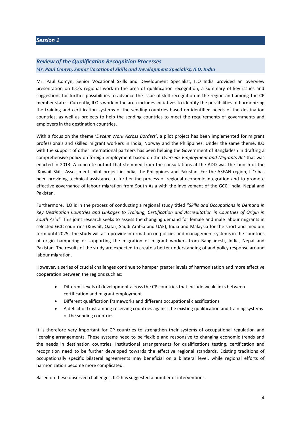## <span id="page-3-1"></span><span id="page-3-0"></span>*Review of the Qualification Recognition Processes Mr. Paul Comyn, Senior Vocational Skills and Development Specialist, ILO, India*

Mr. Paul Comyn, Senior Vocational Skills and Development Specialist, ILO India provided an overview presentation on ILO's regional work in the area of qualification recognition, a summary of key issues and suggestions for further possibilities to advance the issue of skill recognition in the region and among the CP member states. Currently, ILO's work in the area includes initiatives to identify the possibilities of harmonizing the training and certification systems of the sending countries based on identified needs of the destination countries, as well as projects to help the sending countries to meet the requirements of governments and employers in the destination countries.

With a focus on the theme '*Decent Work Across Borders'*, a pilot project has been implemented for migrant professionals and skilled migrant workers in India, Norway and the Philippines. Under the same theme, ILO with the support of other international partners has been helping the Government of Bangladesh in drafting a comprehensive policy on foreign employment based on the *Overseas Employment and Migrants Act* that was enacted in 2013. A concrete output that stemmed from the consultations at the ADD was the launch of the 'Kuwait Skills Assessment' pilot project in India, the Philippines and Pakistan. For the ASEAN region, ILO has been providing technical assistance to further the process of regional economic integration and to promote effective governance of labour migration from South Asia with the involvement of the GCC, India, Nepal and Pakistan.

Furthermore, ILO is in the process of conducting a regional study titled "*Skills and Occupations in Demand in Key Destination Countries and Linkages to Training, Certification and Accreditation in Countries of Origin in South Asia"*. This joint research seeks to assess the changing demand for female and male labour migrants in selected GCC countries (Kuwait, Qatar, Saudi Arabia and UAE), India and Malaysia for the short and medium term until 2025. The study will also provide information on policies and management systems in the countries of origin hampering or supporting the migration of migrant workers from Bangladesh, India, Nepal and Pakistan. The results of the study are expected to create a better understanding of and policy response around labour migration.

However, a series of crucial challenges continue to hamper greater levels of harmonisation and more effective cooperation between the regions such as:

- Different levels of development across the CP countries that include weak links between certification and migrant employment
- Different qualification frameworks and different occupational classifications
- A deficit of trust among receiving countries against the existing qualification and training systems of the sending countries

It is therefore very important for CP countries to strengthen their systems of occupational regulation and licensing arrangements. These systems need to be flexible and responsive to changing economic trends and the needs in destination countries. Institutional arrangements for qualifications testing, certification and recognition need to be further developed towards the effective regional standards. Existing traditions of occupationally specific bilateral agreements may beneficial on a bilateral level, while regional efforts of harmonization become more complicated.

Based on these observed challenges, ILO has suggested a number of interventions.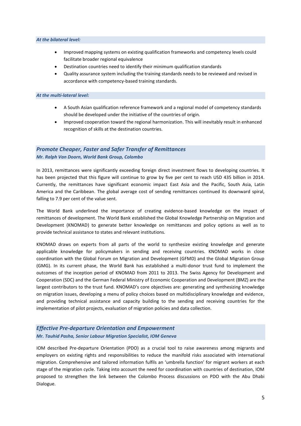#### *At the bilateral level:*

- Improved mapping systems on existing qualification frameworks and competency levels could facilitate broader regional equivalence
- Destination countries need to identify their minimum qualification standards
- Quality assurance system including the training standards needs to be reviewed and revised in accordance with competency-based training standards.

#### *At the multi-lateral level:*

- A South Asian qualification reference framework and a regional model of competency standards should be developed under the initiative of the countries of origin.
- Improved cooperation toward the regional harmonization. This will inevitably result in enhanced recognition of skills at the destination countries.

## <span id="page-4-0"></span>*Promote Cheaper, Faster and Safer Transfer of Remittances Mr. Ralph Van Doorn, World Bank Group, Colombo*

In 2013, remittances were significantly exceeding foreign direct investment flows to developing countries. It has been projected that this figure will continue to grow by five per cent to reach USD 435 billion in 2014. Currently, the remittances have significant economic impact East Asia and the Pacific, South Asia, Latin America and the Caribbean. The global average cost of sending remittances continued its downward spiral, falling to 7.9 per cent of the value sent.

The World Bank underlined the importance of creating evidence-based knowledge on the impact of remittances of development. The World Bank established the Global Knowledge Partnership on Migration and Development (KNOMAD) to generate better knowledge on remittances and policy options as well as to provide technical assistance to states and relevant institutions.

KNOMAD draws on experts from all parts of the world to synthesize existing knowledge and generate applicable knowledge for policymakers in sending and receiving countries. KNOMAD works in close coordination with the Global Forum on Migration and Development (GFMD) and the Global Migration Group (GMG). In its current phase, the World Bank has established a multi-donor trust fund to implement the outcomes of the inception period of KNOMAD from 2011 to 2013. The Swiss Agency for Development and Cooperation (SDC) and the German Federal Ministry of Economic Cooperation and Development (BMZ) are the largest contributors to the trust fund. KNOMAD's core objectives are: generating and synthesizing knowledge on migration issues, developing a menu of policy choices based on multidisciplinary knowledge and evidence, and providing technical assistance and capacity building to the sending and receiving countries for the implementation of pilot projects, evaluation of migration policies and data collection.

## <span id="page-4-1"></span>*Effective Pre-departure Orientation and Empowerment Mr. Tauhid Pasha, Senior Labour Migration Specialist, IOM Geneva*

IOM described Pre-departure Orientation (PDO) as a crucial tool to raise awareness among migrants and employers on existing rights and responsibilities to reduce the manifold risks associated with international migration. Comprehensive and tailored information fulfils an 'umbrella function' for migrant workers at each stage of the migration cycle. Taking into account the need for coordination with countries of destination, IOM proposed to strengthen the link between the Colombo Process discussions on PDO with the Abu Dhabi Dialogue.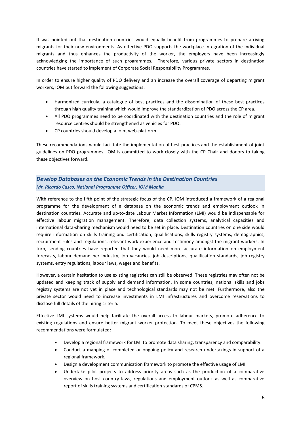It was pointed out that destination countries would equally benefit from programmes to prepare arriving migrants for their new environments. As effective PDO supports the workplace integration of the individual migrants and thus enhances the productivity of the worker, the employers have been increasingly acknowledging the importance of such programmes. Therefore, various private sectors in destination countries have started to implement of Corporate Social Responsibility Programmes.

In order to ensure higher quality of PDO delivery and an increase the overall coverage of departing migrant workers, IOM put forward the following suggestions:

- Harmonized curricula, a catalogue of best practices and the dissemination of these best practices through high quality training which would improve the standardization of PDO across the CP area.
- All PDO programmes need to be coordinated with the destination countries and the role of migrant resource centres should be strengthened as vehicles for PDO.
- CP countries should develop a joint web-platform.

These recommendations would facilitate the implementation of best practices and the establishment of joint guidelines on PDO programmes. IOM is committed to work closely with the CP Chair and donors to taking these objectives forward.

## <span id="page-5-0"></span>*Develop Databases on the Economic Trends in the Destination Countries Mr. Ricardo Casco, National Programme Officer, IOM Manila*

With reference to the fifth point of the strategic focus of the CP, IOM introduced a framework of a regional programme for the development of a database on the economic trends and employment outlook in destination countries. Accurate and up-to-date Labour Market Information (LMI) would be indispensable for effective labour migration management. Therefore, data collection systems, analytical capacities and international data-sharing mechanism would need to be set in place. Destination countries on one side would require information on skills training and certification, qualifications, skills registry systems, demographics, recruitment rules and regulations, relevant work experience and testimony amongst the migrant workers. In turn, sending countries have reported that they would need more accurate information on employment forecasts, labour demand per industry, job vacancies, job descriptions, qualification standards, job registry systems, entry regulations, labour laws, wages and benefits.

However, a certain hesitation to use existing registries can still be observed. These registries may often not be updated and keeping track of supply and demand information. In some countries, national skills and jobs registry systems are not yet in place and technological standards may not be met. Furthermore, also the private sector would need to increase investments in LMI infrastructures and overcome reservations to disclose full details of the hiring criteria.

Effective LMI systems would help facilitate the overall access to labour markets, promote adherence to existing regulations and ensure better migrant worker protection. To meet these objectives the following recommendations were formulated:

- Develop a regional framework for LMI to promote data sharing, transparency and comparability.
- Conduct a mapping of completed or ongoing policy and research undertakings in support of a regional framework.
- Design a development communication framework to promote the effective usage of LMI.
- Undertake pilot projects to address priority areas such as the production of a comparative overview on host country laws, regulations and employment outlook as well as comparative report of skills training systems and certification standards of CPMS.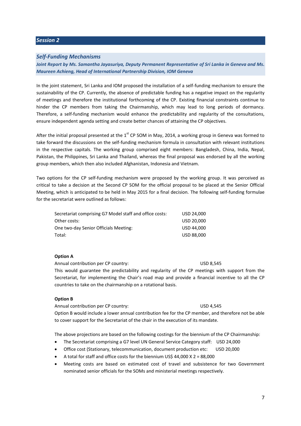#### <span id="page-6-0"></span>*Session 2*

#### <span id="page-6-1"></span>*Self-Funding Mechanisms*

*Joint Report by Ms. Samantha Jayasuriya, Deputy Permanent Representative of Sri Lanka in Geneva and Ms. Maureen Achieng, Head of International Partnership Division, IOM Geneva*

In the joint statement, Sri Lanka and IOM proposed the installation of a self-funding mechanism to ensure the sustainability of the CP. Currently, the absence of predictable funding has a negative impact on the regularity of meetings and therefore the institutional forthcoming of the CP. Existing financial constraints continue to hinder the CP members from taking the Chairmanship, which may lead to long periods of dormancy. Therefore, a self-funding mechanism would enhance the predictability and regularity of the consultations, ensure independent agenda setting and create better chances of attaining the CP objectives.

After the initial proposal presented at the  $1<sup>st</sup>$  CP SOM in May, 2014, a working group in Geneva was formed to take forward the discussions on the self-funding mechanism formula in consultation with relevant institutions in the respective capitals. The working group comprised eight members: Bangladesh, China, India, Nepal, Pakistan, the Philippines, Sri Lanka and Thailand, whereas the final proposal was endorsed by all the working group members, which then also included Afghanistan, Indonesia and Vietnam.

Two options for the CP self-funding mechanism were proposed by the working group. It was perceived as critical to take a decision at the Second CP SOM for the official proposal to be placed at the Senior Official Meeting, which is anticipated to be held in May 2015 for a final decision. The following self-funding formulae for the secretariat were outlined as follows:

| Secretariat comprising G7 Model staff and office costs: | USD 24,000 |
|---------------------------------------------------------|------------|
| Other costs:                                            | USD 20,000 |
| One two-day Senior Officials Meeting:                   | USD 44,000 |
| Total:                                                  | USD 88,000 |

#### **Option A**

Annual contribution per CP country: The USD 8,545

This would guarantee the predictability and regularity of the CP meetings with support from the Secretariat, for implementing the Chair's road map and provide a financial incentive to all the CP countries to take on the chairmanship on a rotational basis.

#### **Option B**

Annual contribution per CP country: USD 4,545 Option B would include a lower annual contribution fee for the CP member, and therefore not be able to cover support for the Secretariat of the chair in the execution of its mandate.

The above projections are based on the following costings for the biennium of the CP Chairmanship:

- The Secretariat comprising a G7 level UN General Service Category staff: USD 24,000
- Office cost (Stationary, telecommunication, document production etc: USD 20,000
- A total for staff and office costs for the biennium US\$ 44,000 X 2 = 88,000
- Meeting costs are based on estimated cost of travel and subsistence for two Government nominated senior officials for the SOMs and ministerial meetings respectively.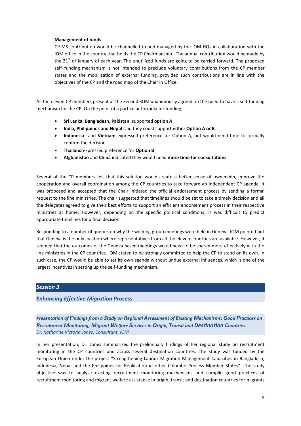#### **Management of funds**

CP-MS contribution would be channelled to and managed by the IOM HQs in collaboration with the IOM office in the country that holds the CP Chairmanship. The annual contribution would be made by the  $31<sup>st</sup>$  of January of each year. The unutilized funds are going to be carried forward. The proposed self–funding mechanism is not intended to preclude voluntary contributions from the CP member states and the mobilization of external funding, provided such contributions are in line with the objectives of the CP and the road map of the Chair in Office.

All the eleven CP members present at the Second SOM unanimously agreed on the need to have a self-funding mechanism for the CP. On the point of a particular formula for funding;

- **Sri Lanka, Bangladesh, Pakistan**, supported **option A**
- **India, Philippines and Nepal** said they could support **either Option A or B**
- **Indonesia** and **Vietnam** expressed preference for Option A, but would need time to formally confirm the decision
- **Thailand** expressed preference for **Option B**
- **Afghanistan** and **China** indicated they would need **more time for consultations**

Several of the CP members felt that this solution would create a better sense of ownership, improve the cooperation and overall coordination among the CP countries to take forward an independent CP agenda. It was proposed and accepted that the Chair initiated the official endorsement process by sending a formal request to the line ministries. The chair suggested that timelines should be set to take a timely decision and all the delegates agreed to give their best efforts to support an efficient endorsement process in their respective ministries at home. However, depending on the specific political conditions, it was difficult to predict appropriate timelines for a final decision.

Responding to a number of queries on why the working group meetings were held in Geneva, IOM pointed out that Geneva is the only location where representatives from all the eleven countries are available. However, it seemed that the outcomes of the Geneva based meetings would need to be shared more effectively with the line ministries in the CP countries. IOM stated to be strongly committed to help the CP to stand on its own. In such case, the CP would be able to set its own agenda without undue external influences, which is one of the largest incentives in setting up the self-funding mechanism.

## <span id="page-7-0"></span>*Session 3*

#### <span id="page-7-1"></span>*Enhancing Effective Migration Process*

<span id="page-7-2"></span>*Presentation of Findings from a Study on Regional Assessment of Existing Mechanisms; Good Practices on Recruitment Monitoring, Migrant Welfare Services in Origin, Transit and Destination Countries Dr. Katharine Victoria Jones, Consultant, IOM*

In her presentation, Dr. Jones summarized the preliminary findings of her regional study on recruitment monitoring in the CP countries and across several destination countries. The study was funded by the European Union under the project "Strengthening Labour Migration Management Capacities in Bangladesh, Indonesia, Nepal and the Philippines for Replication in other Colombo Process Member States". The study objective was to analyse existing recruitment monitoring mechanisms and compile good practices of recruitment monitoring and migrant welfare assistance in origin, transit and destination countries for migrants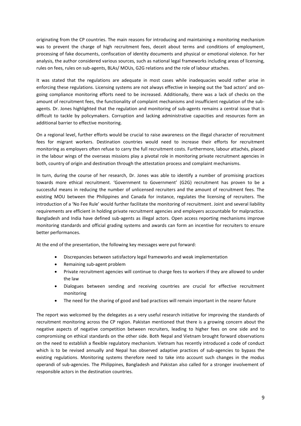originating from the CP countries. The main reasons for introducing and maintaining a monitoring mechanism was to prevent the charge of high recruitment fees, deceit about terms and conditions of employment, processing of fake documents, confiscation of identity documents and physical or emotional violence. For her analysis, the author considered various sources, such as national legal frameworks including areas of licensing, rules on fees, rules on sub-agents, BLAs/ MOUs, G2G relations and the role of labour attaches.

It was stated that the regulations are adequate in most cases while inadequacies would rather arise in enforcing these regulations. Licensing systems are not always effective in keeping out the 'bad actors' and ongoing compliance monitoring efforts need to be increased. Additionally, there was a lack of checks on the amount of recruitment fees, the functionality of complaint mechanisms and insufficient regulation of the subagents. Dr. Jones highlighted that the regulation and monitoring of sub-agents remains a central issue that is difficult to tackle by policymakers. Corruption and lacking administrative capacities and resources form an additional barrier to effective monitoring.

On a regional level, further efforts would be crucial to raise awareness on the illegal character of recruitment fees for migrant workers. Destination countries would need to increase their efforts for recruitment monitoring as employers often refuse to carry the full recruitment costs. Furthermore, labour attachés, placed in the labour wings of the overseas missions play a pivotal role in monitoring private recruitment agencies in both, country of origin and destination through the attestation process and complaint mechanisms.

In turn, during the course of her research, Dr. Jones was able to identify a number of promising practices towards more ethical recruitment. 'Government to Government' (G2G) recruitment has proven to be a successful means in reducing the number of unlicensed recruiters and the amount of recruitment fees. The existing MOU between the Philippines and Canada for instance, regulates the licensing of recruiters. The introduction of a 'No Fee Rule' would further facilitate the monitoring of recruitment. Joint and several liability requirements are efficient in holding private recruitment agencies and employers accountable for malpractice. Bangladesh and India have defined sub-agents as illegal actors. Open access reporting mechanisms improve monitoring standards and official grading systems and awards can form an incentive for recruiters to ensure better performances.

At the end of the presentation, the following key messages were put forward:

- Discrepancies between satisfactory legal frameworks and weak implementation
- Remaining sub-agent problem
- Private recruitment agencies will continue to charge fees to workers if they are allowed to under the law
- Dialogues between sending and receiving countries are crucial for effective recruitment monitoring
- The need for the sharing of good and bad practices will remain important in the nearer future

The report was welcomed by the delegates as a very useful research initiative for improving the standards of recruitment monitoring across the CP region. Pakistan mentioned that there is a growing concern about the negative aspects of negative competition between recruiters, leading to higher fees on one side and to compromising on ethical standards on the other side. Both Nepal and Vietnam brought forward observations on the need to establish a flexible regulatory mechanism. Vietnam has recently introduced a code of conduct which is to be revised annually and Nepal has observed adaptive practices of sub-agencies to bypass the existing regulations. Monitoring systems therefore need to take into account such changes in the modus operandi of sub-agencies. The Philippines, Bangladesh and Pakistan also called for a stronger involvement of responsible actors in the destination countries.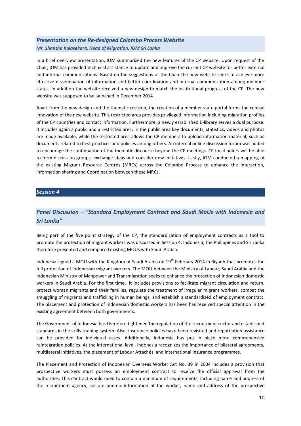## <span id="page-9-0"></span>*Presentation on the Re-designed Colombo Process Website Mr. Shantha Kulasekara, Head of Migration, IOM Sri Lanka*

In a brief overview presentation, IOM summarized the new features of the CP website. Upon request of the Chair, IOM has provided technical assistance to update and improve the current CP website for better external and internal communications. Based on the suggestions of the Chair the new website seeks to achieve more effective dissemination of information and better coordination and internal communication among member states. In addition the website received a new design to match the institutional progress of the CP. The new website was supposed to be launched in December 2014.

Apart from the new design and the thematic revision, the creation of a member state portal forms the central innovation of the new website. This restricted area provides privileged information including migration profiles of the CP countries and contact information. Furthermore, a newly established E-library serves a dual purpose. It includes again a public and a restricted area. In the public area key documents, statistics, videos and photos are made available, while the restricted area allows the CP members to upload information material, such as documents related to best practices and policies among others. An internal online discussion forum was added to encourage the continuation of the thematic discourse beyond the CP meetings. CP focal points will be able to form discussion groups, exchange ideas and consider new initiatives. Lastly, IOM conducted a mapping of the existing Migrant Resource Centres (MRCs) across the Colombo Process to enhance the interaction, information sharing and Coordination between these MRCs.

### <span id="page-9-1"></span>*Session 4*

## <span id="page-9-2"></span>*Panel Discussion – "Standard Employment Contract and Saudi MoUs with Indonesia and Sri Lanka"*

Being part of the five point strategy of the CP, the standardization of employment contracts as a tool to promote the protection of migrant workers was discussed in Session 4. Indonesia, the Philippines and Sri Lanka therefore presented and compared existing MOUs with Saudi Arabia.

Indonesia signed a MOU with the Kingdom of Saudi Arabia on  $19<sup>th</sup>$  February 2014 in Riyadh that promotes the full protection of Indonesian migrant workers. The MOU between the Ministry of Labour, Saudi Arabia and the Indonesian Ministry of Manpower and Transmigration seeks to enhance the protection of Indonesian domestic workers in Saudi Arabia. For the first time, it includes provisions to facilitate migrant circulation and return, protect woman migrants and their families, regulate the treatment of irregular migrant workers, combat the smuggling of migrants and trafficking in human beings, and establish a standardized of employment contract. The placement and protection of Indonesian domestic workers has been has received special attention in the existing agreement between both governments.

The Government of Indonesia has therefore tightened the regulation of the recruitment sector and established standards in the skills training system. Also, insurance policies have been revisited and repatriation assistance can be provided for individual cases. Additionally, Indonesia has put in place more comprehensive reintegration policies. At the international level, Indonesia recognizes the importance of bilateral agreements, multilateral initiatives, the placement of Labour Attachés, and international insurance programmes.

The Placement and Protection of Indonesian Overseas Worker Act No. 39 in 2004 includes a provision that prospective workers must possess an employment contract to receive the official approval from the authorities. This contract would need to contain a minimum of requirements, including name and address of the recruitment agency, socio-economic information of the worker, name and address of the prospective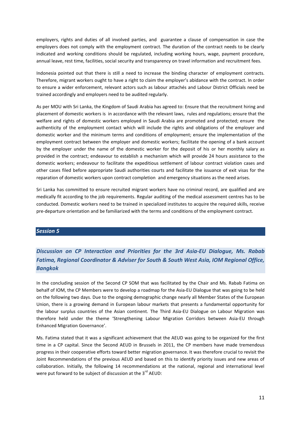employers, rights and duties of all involved parties, and guarantee a clause of compensation in case the employers does not comply with the employment contract. The duration of the contract needs to be clearly indicated and working conditions should be regulated, including working hours, wage, payment procedure, annual leave, rest time, facilities, social security and transparency on travel information and recruitment fees.

Indonesia pointed out that there is still a need to increase the binding character of employment contracts. Therefore, migrant workers ought to have a right to claim the employer's abidance with the contract. In order to ensure a wider enforcement, relevant actors such as labour attachés and Labour District Officials need be trained accordingly and employers need to be audited regularly.

As per MOU with Sri Lanka, the Kingdom of Saudi Arabia has agreed to: Ensure that the recruitment hiring and placement of domestic workers is in accordance with the relevant laws, rules and regulations; ensure that the welfare and rights of domestic workers employed in Saudi Arabia are promoted and protected; ensure the authenticity of the employment contact which will include the rights and obligations of the employer and domestic worker and the minimum terms and conditions of employment; ensure the implementation of the employment contract between the employer and domestic workers; facilitate the opening of a bank account by the employer under the name of the domestic worker for the deposit of his or her monthly salary as provided in the contract; endeavour to establish a mechanism which will provide 24 hours assistance to the domestic workers; endeavour to facilitate the expeditious settlement of labour contract violation cases and other cases filed before appropriate Saudi authorities courts and facilitate the issuance of exit visas for the reparation of domestic workers upon contract completion and emergency situations as the need arises.

Sri Lanka has committed to ensure recruited migrant workers have no criminal record, are qualified and are medically fit according to the job requirements. Regular auditing of the medical assessment centres has to be conducted. Domestic workers need to be trained in specialized institutes to acquire the required skills, receive pre-departure orientation and be familiarized with the terms and conditions of the employment contract.

#### <span id="page-10-0"></span>*Session 5*

<span id="page-10-1"></span>*Discussion on CP Interaction and Priorities for the 3rd Asia-EU Dialogue, Ms. Rabab Fatima, Regional Coordinator & Adviser for South & South West Asia, IOM Regional Office, Bangkok*

In the concluding session of the Second CP SOM that was facilitated by the Chair and Ms. Rabab Fatima on behalf of IOM, the CP Members were to develop a roadmap for the Asia-EU Dialogue that was going to be held on the following two days. Due to the ongoing demographic change nearly all Member States of the European Union, there is a growing demand in European labour markets that presents a fundamental opportunity for the labour surplus countries of the Asian continent. The Third Asia-EU Dialogue on Labour Migration was therefore held under the theme 'Strengthening Labour Migration Corridors between Asia-EU through Enhanced Migration Governance'.

Ms. Fatima stated that it was a significant achievement that the AEUD was going to be organized for the first time in a CP capital. Since the Second AEUD in Brussels in 2011, the CP members have made tremendous progress in their cooperative efforts toward better migration governance. It was therefore crucial to revisit the Joint Recommendations of the previous AEUD and based on this to identify priority issues and new areas of collaboration. Initially, the following 14 recommendations at the national, regional and international level were put forward to be subject of discussion at the  $3^{rd}$  AEUD: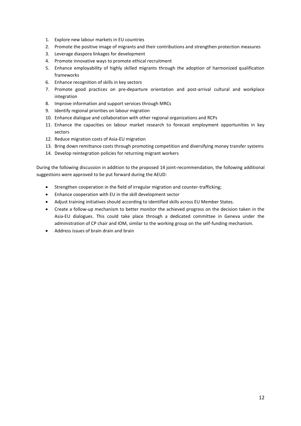- 1. Explore new labour markets in EU countries
- 2. Promote the positive image of migrants and their contributions and strengthen protection measures
- 3. Leverage diaspora linkages for development
- 4. Promote innovative ways to promote ethical recruitment
- 5. Enhance employability of highly skilled migrants through the adoption of harmonized qualification frameworks
- 6. Enhance recognition of skills in key sectors
- 7. Promote good practices on pre-departure orientation and post-arrival cultural and workplace integration
- 8. Improve information and support services through MRCs
- 9. Identify regional priorities on labour migration
- 10. Enhance dialogue and collaboration with other regional organizations and RCPs
- 11. Enhance the capacities on labour market research to forecast employment opportunities in key sectors
- 12. Reduce migration costs of Asia-EU migration
- 13. Bring down remittance costs through promoting competition and diversifying money transfer systems
- 14. Develop reintegration policies for returning migrant workers

During the following discussion in addition to the proposed 14 joint-recommendation, the following additional suggestions were approved to be put forward during the AEUD:

- Strengthen cooperation in the field of irregular migration and counter-trafficking;
- Enhance cooperation with EU in the skill development sector
- Adjust training initiatives should according to identified skills across EU Member States.
- Create a follow-up mechanism to better monitor the achieved progress on the decision taken in the Asia-EU dialogues. This could take place through a dedicated committee in Geneva under the administration of CP chair and IOM, similar to the working group on the self-funding mechanism.
- Address issues of brain drain and brain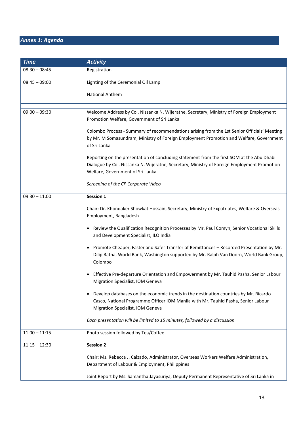# <span id="page-12-0"></span>*Annex 1: Agenda*

| <b>Time</b>     | <b>Activity</b>                                                                                                                                                                                                              |
|-----------------|------------------------------------------------------------------------------------------------------------------------------------------------------------------------------------------------------------------------------|
| $08:30 - 08:45$ | Registration                                                                                                                                                                                                                 |
| $08:45 - 09:00$ | Lighting of the Ceremonial Oil Lamp                                                                                                                                                                                          |
|                 | <b>National Anthem</b>                                                                                                                                                                                                       |
|                 |                                                                                                                                                                                                                              |
| $09:00 - 09:30$ | Welcome Address by Col. Nissanka N. Wijeratne, Secretary, Ministry of Foreign Employment<br>Promotion Welfare, Government of Sri Lanka                                                                                       |
|                 | Colombo Process - Summary of recommendations arising from the 1st Senior Officials' Meeting<br>by Mr. M Somasundram, Ministry of Foreign Employment Promotion and Welfare, Government<br>of Sri Lanka                        |
|                 | Reporting on the presentation of concluding statement from the first SOM at the Abu Dhabi<br>Dialogue by Col. Nissanka N. Wijeratne, Secretary, Ministry of Foreign Employment Promotion<br>Welfare, Government of Sri Lanka |
|                 | Screening of the CP Corporate Video                                                                                                                                                                                          |
| $09:30 - 11:00$ | Session 1                                                                                                                                                                                                                    |
|                 | Chair: Dr. Khondaker Showkat Hossain, Secretary, Ministry of Expatriates, Welfare & Overseas<br>Employment, Bangladesh                                                                                                       |
|                 | Review the Qualification Recognition Processes by Mr. Paul Comyn, Senior Vocational Skills<br>and Development Specialist, ILO India                                                                                          |
|                 | Promote Cheaper, Faster and Safer Transfer of Remittances - Recorded Presentation by Mr.<br>Dilip Ratha, World Bank, Washington supported by Mr. Ralph Van Doorn, World Bank Group,<br>Colombo                               |
|                 | Effective Pre-departure Orientation and Empowerment by Mr. Tauhid Pasha, Senior Labour<br>Migration Specialist, IOM Geneva                                                                                                   |
|                 | Develop databases on the economic trends in the destination countries by Mr. Ricardo<br>Casco, National Programme Officer IOM Manila with Mr. Tauhid Pasha, Senior Labour<br>Migration Specialist, IOM Geneva                |
|                 | Each presentation will be limited to 15 minutes, followed by a discussion                                                                                                                                                    |
| $11:00 - 11:15$ | Photo session followed by Tea/Coffee                                                                                                                                                                                         |
| $11:15 - 12:30$ | <b>Session 2</b>                                                                                                                                                                                                             |
|                 | Chair: Ms. Rebecca J. Calzado, Administrator, Overseas Workers Welfare Administration,<br>Department of Labour & Employment, Philippines                                                                                     |
|                 | Joint Report by Ms. Samantha Jayasuriya, Deputy Permanent Representative of Sri Lanka in                                                                                                                                     |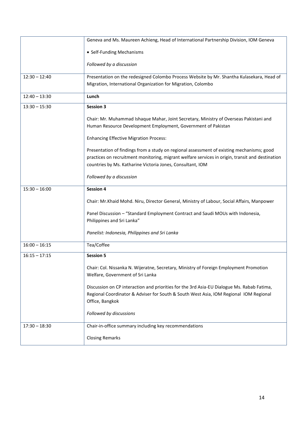|                 | Geneva and Ms. Maureen Achieng, Head of International Partnership Division, IOM Geneva                                                                                                                                                                      |  |  |
|-----------------|-------------------------------------------------------------------------------------------------------------------------------------------------------------------------------------------------------------------------------------------------------------|--|--|
|                 | • Self-Funding Mechanisms                                                                                                                                                                                                                                   |  |  |
|                 | Followed by a discussion                                                                                                                                                                                                                                    |  |  |
| $12:30 - 12:40$ | Presentation on the redesigned Colombo Process Website by Mr. Shantha Kulasekara, Head of                                                                                                                                                                   |  |  |
|                 | Migration, International Organization for Migration, Colombo                                                                                                                                                                                                |  |  |
| $12:40 - 13:30$ | Lunch                                                                                                                                                                                                                                                       |  |  |
| $13:30 - 15:30$ | <b>Session 3</b>                                                                                                                                                                                                                                            |  |  |
|                 | Chair: Mr. Muhammad Ishaque Mahar, Joint Secretary, Ministry of Overseas Pakistani and<br>Human Resource Development Employment, Government of Pakistan                                                                                                     |  |  |
|                 | <b>Enhancing Effective Migration Process:</b>                                                                                                                                                                                                               |  |  |
|                 | Presentation of findings from a study on regional assessment of existing mechanisms; good<br>practices on recruitment monitoring, migrant welfare services in origin, transit and destination<br>countries by Ms. Katharine Victoria Jones, Consultant, IOM |  |  |
|                 | Followed by a discussion                                                                                                                                                                                                                                    |  |  |
| $15:30 - 16:00$ | <b>Session 4</b>                                                                                                                                                                                                                                            |  |  |
|                 | Chair: Mr.Khaid Mohd. Niru, Director General, Ministry of Labour, Social Affairs, Manpower                                                                                                                                                                  |  |  |
|                 | Panel Discussion - "Standard Employment Contract and Saudi MOUs with Indonesia,<br>Philippines and Sri Lanka"                                                                                                                                               |  |  |
|                 | Panelist: Indonesia, Philippines and Sri Lanka                                                                                                                                                                                                              |  |  |
| $16:00 - 16:15$ | Tea/Coffee                                                                                                                                                                                                                                                  |  |  |
| $16:15 - 17:15$ | <b>Session 5</b>                                                                                                                                                                                                                                            |  |  |
|                 | Chair: Col. Nissanka N. Wijeratne, Secretary, Ministry of Foreign Employment Promotion<br>Welfare, Government of Sri Lanka                                                                                                                                  |  |  |
|                 | Discussion on CP interaction and priorities for the 3rd Asia-EU Dialogue Ms. Rabab Fatima,<br>Regional Coordinator & Adviser for South & South West Asia, IOM Regional IOM Regional<br>Office, Bangkok                                                      |  |  |
|                 | Followed by discussions                                                                                                                                                                                                                                     |  |  |
| $17:30 - 18:30$ | Chair-in-office summary including key recommendations                                                                                                                                                                                                       |  |  |
|                 | <b>Closing Remarks</b>                                                                                                                                                                                                                                      |  |  |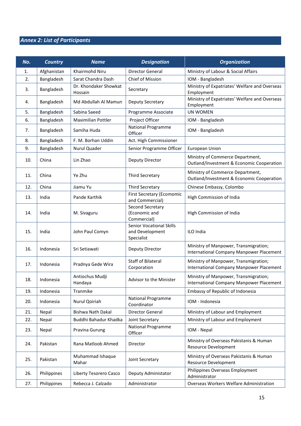# <span id="page-14-0"></span>*Annex 2: List of Participants*

| No. | <b>Country</b> | <b>Name</b>                      | <b>Designation</b>                                               | <b>Organization</b>                                                               |
|-----|----------------|----------------------------------|------------------------------------------------------------------|-----------------------------------------------------------------------------------|
| 1.  | Afghanistan    | Khairmohd Niru                   | <b>Director General</b>                                          | Ministry of Labour & Social Affairs                                               |
| 2.  | Bangladesh     | Sarat Chandra Dash               | Chief of Mission                                                 | IOM - Bangladesh                                                                  |
| 3.  | Bangladesh     | Dr. Khondaker Showkat<br>Hossain | Secretary                                                        | Ministry of Expatriates' Welfare and Overseas<br>Employment                       |
| 4.  | Bangladesh     | Md Abdullah Al Mamun             | Deputy Secretary                                                 | Ministry of Expatriates' Welfare and Overseas<br>Employment                       |
| 5.  | Bangladesh     | Sabina Saeed                     | Programme Associate                                              | <b>UN WOMEN</b>                                                                   |
| 6.  | Bangladesh     | <b>Maximilian Pottler</b>        | Project Officer                                                  | IOM - Bangladesh                                                                  |
| 7.  | Bangladesh     | Samiha Huda                      | <b>National Programme</b><br>Officer                             | IOM - Bangladesh                                                                  |
| 8.  | Bangladesh     | F. M. Borhan Uddin               | Act. High Commissioner                                           |                                                                                   |
| 9.  | Bangladesh     | Nurul Quader                     | Senior Programme Officer                                         | <b>European Union</b>                                                             |
| 10. | China          | Lin Zhao                         | Deputy Director                                                  | Ministry of Commerce Department,<br>Outland/Investment & Economic Cooperation     |
| 11. | China          | Ye Zhu                           | <b>Third Secretary</b>                                           | Ministry of Commerce Department,<br>Outland/Investment & Economic Cooperation     |
| 12. | China          | Jiamu Yu                         | <b>Third Secretary</b>                                           | Chinese Embassy, Colombo                                                          |
| 13. | India          | Pande Karthik                    | First Secretary (Ecomomic<br>and Commercial)                     | High Commission of India                                                          |
| 14. | India          | M. Sivaguru                      | Second Secretary<br>(Economic and<br>Commercial)                 | High Commission of India                                                          |
| 15. | India          | John Paul Comyn                  | <b>Senior Vocational Skills</b><br>and Development<br>Specialist | ILO India                                                                         |
| 16. | Indonesia      | Sri Setiawati                    | Deputy Director                                                  | Ministry of Manpower, Transmigration;<br>International Company Manpower Placement |
| 17. | Indonesia      | Pradnya Gede Wira                | <b>Staff of Bilateral</b><br>Corporation                         | Ministry of Manpower, Transmigration;<br>International Company Manpower Placement |
| 18. | Indonesia      | Antiochus Mudji<br>Handaya       | Advisor to the Minister                                          | Ministry of Manpower, Transmigration;<br>International Company Manpower Placement |
| 19. | Indonesia      | Tranmike                         |                                                                  | Embassy of Republic of Indonesia                                                  |
| 20. | Indonesia      | Nurul Qoiriah                    | <b>National Programme</b><br>Coordinator                         | IOM - Indonesia                                                                   |
| 21. | Nepal          | <b>Bishwa Nath Dakal</b>         | Director General                                                 | Ministry of Labour and Employment                                                 |
| 22. | Nepal          | Buddhi Bahadur Khadka            | Joint Secretary                                                  | Ministry of Labour and Employment                                                 |
| 23. | Nepal          | Pravina Gurung                   | <b>National Programme</b><br>Officer                             | IOM - Nepal                                                                       |
| 24. | Pakistan       | Rana Matloob Ahmed               | Director                                                         | Ministry of Overseas Pakistanis & Human<br><b>Resource Development</b>            |
| 25. | Pakistan       | Muhammad Ishaque<br>Mahar        | Joint Secretary                                                  | Ministry of Overseas Pakistanis & Human<br>Resource Development                   |
| 26. | Philippines    | Liberty Tesorero Casco           | Deputy Administator                                              | Philippines Overseas Employment<br>Administrator                                  |
| 27. | Philippines    | Rebecca J. Calzado               | Administrator                                                    | Overseas Workers Welfare Administration                                           |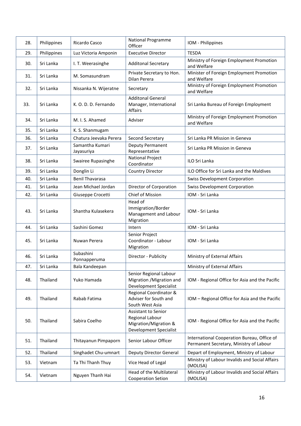| 28. | Philippines | Ricardo Casco                 | National Programme<br>Officer                                                                           | IOM - Philippines                                                                      |
|-----|-------------|-------------------------------|---------------------------------------------------------------------------------------------------------|----------------------------------------------------------------------------------------|
| 29. | Philippines | Luz Victoria Amponin          | <b>Executive Director</b>                                                                               | <b>TESDA</b>                                                                           |
| 30. | Sri Lanka   | I. T. Weerasinghe             | <b>Additonal Secretary</b>                                                                              | Ministry of Foreign Employment Promotion<br>and Welfare                                |
| 31. | Sri Lanka   | M. Somasundram                | Private Secretary to Hon.<br>Dilan Perera                                                               | Minister of Foreign Employment Promotion<br>and Welfare                                |
| 32. | Sri Lanka   | Nissanka N. Wijeratne         | Secretary                                                                                               | Ministry of Foreign Employment Promotion<br>and Welfare                                |
| 33. | Sri Lanka   | K. O. D. D. Fernando          | <b>Additonal General</b><br>Manager, International<br>Affairs                                           | Sri Lanka Bureau of Foreign Employment                                                 |
| 34. | Sri Lanka   | M. I. S. Ahamed               | Adviser                                                                                                 | Ministry of Foreign Employment Promotion<br>and Welfare                                |
| 35. | Sri Lanka   | K. S. Shanmugam               |                                                                                                         |                                                                                        |
| 36. | Sri Lanka   | Chatura Jeevaka Perera        | Second Secretary                                                                                        | Sri Lanka PR Mission in Geneva                                                         |
| 37. | Sri Lanka   | Samantha Kumari<br>Jayasuriya | Deputy Permanent<br>Representative                                                                      | Sri Lanka PR Mission in Geneva                                                         |
| 38. | Sri Lanka   | Swairee Rupasinghe            | <b>National Project</b><br>Coordinator                                                                  | ILO Sri Lanka                                                                          |
| 39. | Sri Lanka   | Donglin Li                    | <b>Country Director</b>                                                                                 | ILO Office for Sri Lanka and the Maldives                                              |
| 40. | Sri Lanka   | <b>Benil Thavarasa</b>        |                                                                                                         | <b>Swiss Development Corporation</b>                                                   |
| 41. | Sri Lanka   | Jean Michael Jordan           | Director of Corporation                                                                                 | <b>Swiss Development Corporation</b>                                                   |
| 42. | Sri Lanka   | Giuseppe Crocetti             | Chief of Mission                                                                                        | IOM - Sri Lanka                                                                        |
| 43. | Sri Lanka   | Shantha Kulasekera            | Head of<br>Immigration/Border<br>Management and Labour<br>Migration                                     | IOM - Sri Lanka                                                                        |
| 44. | Sri Lanka   | Sashini Gomez                 | Intern                                                                                                  | IOM - Sri Lanka                                                                        |
| 45. | Sri Lanka   | Nuwan Perera                  | Senior Project<br>Coordinator - Labour<br>Migration                                                     | IOM - Sri Lanka                                                                        |
| 46. | Sri Lanka   | Subashini<br>Ponnapperuma     | Director - Publicity                                                                                    | Ministry of External Affairs                                                           |
| 47. | Sri Lanka   | Bala Kandeepan                |                                                                                                         | Ministry of External Affairs                                                           |
| 48. | Thailand    | Yuko Hamada                   | Senior Regional Labour<br>Migration / Migration and<br><b>Development Specialist</b>                    | IOM - Regional Office for Asia and the Pacific                                         |
| 49. | Thailand    | Rabab Fatima                  | Regional Coordinator &<br>Adviser for South and<br>South West Asia                                      | IOM - Regional Office for Asia and the Pacific                                         |
| 50. | Thailand    | Sabira Coelho                 | Assistant to Senior<br><b>Regional Labour</b><br>Migration/Migration &<br><b>Development Specialist</b> | IOM - Regional Office for Asia and the Pacific                                         |
| 51. | Thailand    | Thitayanun Pimpaporn          | Senior Labour Officer                                                                                   | International Cooperation Bureau, Office of<br>Permanent Secretary, Ministry of Labour |
| 52. | Thailand    | Singhadet Chu-umnart          | <b>Deputy Director General</b>                                                                          | Depart of Employment, Ministry of Labour                                               |
| 53. | Vietnam     | Ta Thi Thanh Thuy             | Vice Head of Legal                                                                                      | Ministry of Labour Invalids and Social Affairs<br>(MOLISA)                             |
| 54. | Vietnam     | Nguyen Thanh Hai              | Head of the Multilateral<br>Cooperation Setion                                                          | Ministry of Labour Invalids and Social Affairs<br>(MOLISA)                             |